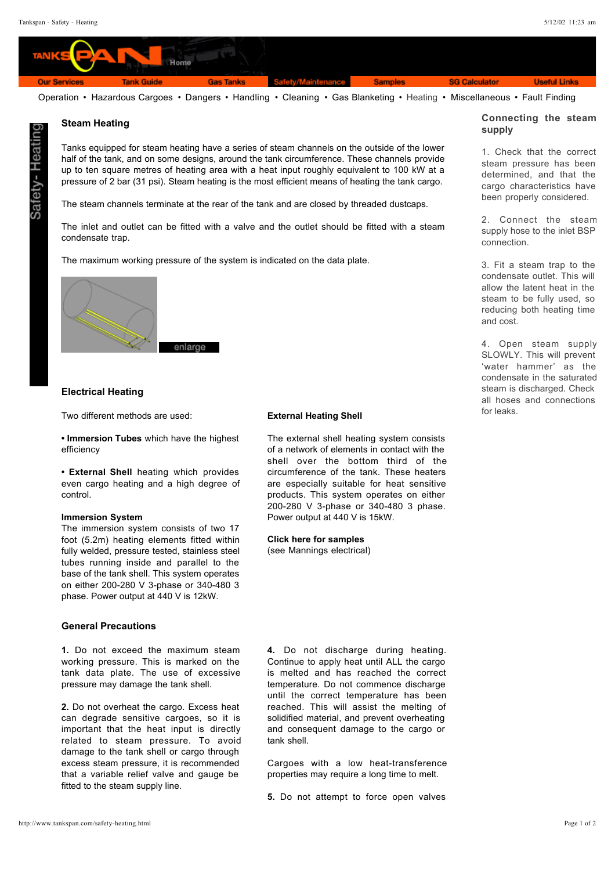

Operation • Hazardous Cargoes • Dangers • Handling • Cleaning • Gas Blanketing • Heating • Miscellaneous • Fault Finding

# :вәН –

## **supply Steam Heating**

Tanks equipped for steam heating have a series of steam channels on the outside of the lower half of the tank, and on some designs, around the tank circumference. These channels provide up to ten square metres of heating area with a heat input roughly equivalent to 100 kW at a pressure of 2 bar (31 psi). Steam heating is the most efficient means of heating the tank cargo.

The steam channels terminate at the rear of the tank and are closed by threaded dustcaps.

The inlet and outlet can be fitted with a valve and the outlet should be fitted with a steam condensate trap.

The maximum working pressure of the system is indicated on the data plate.



### **Electrical Heating**

Two different methods are used:

**• Immersion Tubes** which have the highest efficiency

**• External Shell** heating which provides even cargo heating and a high degree of control.

### **Immersion System**

The immersion system consists of two 17 foot (5.2m) heating elements fitted within fully welded, pressure tested, stainless steel tubes running inside and parallel to the base of the tank shell. This system operates on either 200-280 V 3-phase or 340-480 3 phase. Power output at 440 V is 12kW.

### **General Precautions**

1. Do not exceed the maximum steam working pressure. This is marked on the tank data plate. The use of excessive pressure may damage the tank shell.

2. Do not overheat the cargo. Excess heat can degrade sensitive cargoes, so it is important that the heat input is directly related to steam pressure. To avoid damage to the tank shell or cargo through excess steam pressure, it is recommended that a variable relief valve and gauge be fitted to the steam supply line.

### **External Heating Shell**

The external shell heating system consists of a network of elements in contact with the shell over the bottom third of the circumference of the tank. These heaters are especially suitable for heat sensitive products. This system operates on either 200-280 V 3-phase or 340-480 3 phase. Power output at 440 V is 15kW.

(see Mannings electrical) **Click here for samples**

**4.** Do not discharge during heating. Continue to apply heat until ALL the cargo is melted and has reached the correct temperature. Do not commence discharge until the correct temperature has been reached. This will assist the melting of solidified material, and prevent overheating and consequent damage to the cargo or tank shell.

Cargoes with a low heat-transference properties may require a long time to melt.

5. Do not attempt to force open valves

# **Connecting the steam**

1. Check that the correct steam pressure has been determined, and that the cargo characteristics have been properly considered.

2. Connect the steam supply hose to the inlet BSP connection.

3. Fit a steam trap to the condensate outlet. This will allow the latent heat in the steam to be fully used, so reducing both heating time and cost.

4. Open steam supply SLOWLY. This will prevent 'water hammer' as the condensate in the saturated steam is discharged. Check all hoses and connections for leaks.